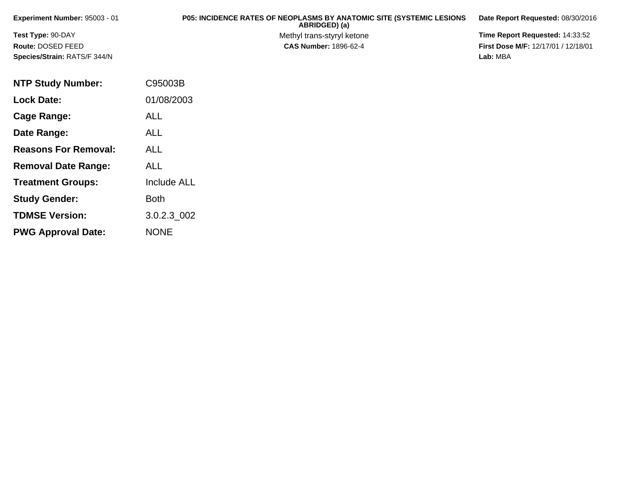| Experiment Number: $95003 - 01$     | <b>P05: INCIDENCE RATES OF NEOPLASMS BY ANATOMIC SITE (SYSTEMIC LESIONS)</b><br>ABRIDGED) (a) | Date Report Requested: 08/30/2016          |
|-------------------------------------|-----------------------------------------------------------------------------------------------|--------------------------------------------|
| <b>Test Type: 90-DAY</b>            | Methyl trans-styryl ketone                                                                    | Time Report Requested: 14:33:52            |
| Route: DOSED FEED                   | <b>CAS Number: 1896-62-4</b>                                                                  | <b>First Dose M/F: 12/17/01 / 12/18/01</b> |
| <b>Species/Strain: RATS/F 344/N</b> |                                                                                               | Lab: MBA                                   |

| <b>NTP Study Number:</b>    | C95003B            |
|-----------------------------|--------------------|
| <b>Lock Date:</b>           | 01/08/2003         |
| Cage Range:                 | ALL                |
| Date Range:                 | ALL                |
| <b>Reasons For Removal:</b> | ALL                |
| <b>Removal Date Range:</b>  | ALL                |
| <b>Treatment Groups:</b>    | <b>Include ALL</b> |
| <b>Study Gender:</b>        | Both               |
| <b>TDMSE Version:</b>       | 3.0.2.3 002        |
| <b>PWG Approval Date:</b>   | <b>NONE</b>        |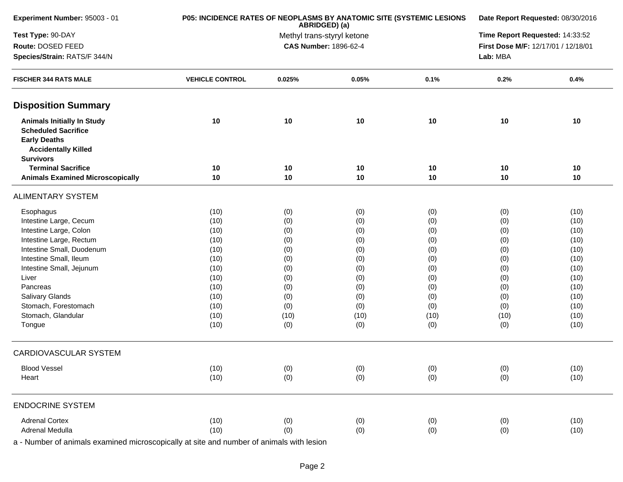| Experiment Number: 95003 - 01                                                                                                            |                        | P05: INCIDENCE RATES OF NEOPLASMS BY ANATOMIC SITE (SYSTEMIC LESIONS<br>ABRIDGED) (a) |                                     |      |                                 |      |  |
|------------------------------------------------------------------------------------------------------------------------------------------|------------------------|---------------------------------------------------------------------------------------|-------------------------------------|------|---------------------------------|------|--|
| Test Type: 90-DAY                                                                                                                        |                        |                                                                                       | Methyl trans-styryl ketone          |      | Time Report Requested: 14:33:52 |      |  |
| Route: DOSED FEED                                                                                                                        |                        | <b>CAS Number: 1896-62-4</b>                                                          | First Dose M/F: 12/17/01 / 12/18/01 |      |                                 |      |  |
| Species/Strain: RATS/F 344/N                                                                                                             |                        |                                                                                       | Lab: MBA                            |      |                                 |      |  |
| <b>FISCHER 344 RATS MALE</b>                                                                                                             | <b>VEHICLE CONTROL</b> | 0.025%                                                                                | 0.05%                               | 0.1% | 0.2%                            | 0.4% |  |
| <b>Disposition Summary</b>                                                                                                               |                        |                                                                                       |                                     |      |                                 |      |  |
| <b>Animals Initially In Study</b><br><b>Scheduled Sacrifice</b><br><b>Early Deaths</b><br><b>Accidentally Killed</b><br><b>Survivors</b> | 10                     | 10                                                                                    | 10                                  | 10   | 10                              | 10   |  |
| <b>Terminal Sacrifice</b>                                                                                                                | 10                     | 10                                                                                    | 10                                  | 10   | 10                              | 10   |  |
| <b>Animals Examined Microscopically</b>                                                                                                  | 10                     | 10                                                                                    | 10                                  | 10   | 10                              | 10   |  |
| <b>ALIMENTARY SYSTEM</b>                                                                                                                 |                        |                                                                                       |                                     |      |                                 |      |  |
| Esophagus                                                                                                                                | (10)                   | (0)                                                                                   | (0)                                 | (0)  | (0)                             | (10) |  |
| Intestine Large, Cecum                                                                                                                   | (10)                   | (0)                                                                                   | (0)                                 | (0)  | (0)                             | (10) |  |
| Intestine Large, Colon                                                                                                                   | (10)                   | (0)                                                                                   | (0)                                 | (0)  | (0)                             | (10) |  |
| Intestine Large, Rectum                                                                                                                  | (10)                   | (0)                                                                                   | (0)                                 | (0)  | (0)                             | (10) |  |
| Intestine Small, Duodenum                                                                                                                | (10)                   | (0)                                                                                   | (0)                                 | (0)  | (0)                             | (10) |  |
| Intestine Small, Ileum                                                                                                                   | (10)                   | (0)                                                                                   | (0)                                 | (0)  | (0)                             | (10) |  |
| Intestine Small, Jejunum                                                                                                                 | (10)                   | (0)                                                                                   | (0)                                 | (0)  | (0)                             | (10) |  |
| Liver                                                                                                                                    | (10)                   | (0)                                                                                   | (0)                                 | (0)  | (0)                             | (10) |  |
| Pancreas                                                                                                                                 | (10)                   | (0)                                                                                   | (0)                                 | (0)  | (0)                             | (10) |  |
| Salivary Glands                                                                                                                          | (10)                   | (0)                                                                                   | (0)                                 | (0)  | (0)                             | (10) |  |
| Stomach, Forestomach                                                                                                                     | (10)                   | (0)                                                                                   | (0)                                 | (0)  | (0)                             | (10) |  |
| Stomach, Glandular                                                                                                                       | (10)                   | (10)                                                                                  | (10)                                | (10) | (10)                            | (10) |  |
| Tongue                                                                                                                                   | (10)                   | (0)                                                                                   | (0)                                 | (0)  | (0)                             | (10) |  |
| CARDIOVASCULAR SYSTEM                                                                                                                    |                        |                                                                                       |                                     |      |                                 |      |  |
| <b>Blood Vessel</b>                                                                                                                      | (10)                   | (0)                                                                                   | (0)                                 | (0)  | (0)                             | (10) |  |
| Heart                                                                                                                                    | (10)                   | (0)                                                                                   | (0)                                 | (0)  | (0)                             | (10) |  |
| <b>ENDOCRINE SYSTEM</b>                                                                                                                  |                        |                                                                                       |                                     |      |                                 |      |  |
| <b>Adrenal Cortex</b>                                                                                                                    | (10)                   | (0)                                                                                   | (0)                                 | (0)  | (0)                             | (10) |  |
| Adrenal Medulla                                                                                                                          | (10)                   | (0)                                                                                   | (0)                                 | (0)  | (0)                             | (10) |  |
|                                                                                                                                          |                        |                                                                                       |                                     |      |                                 |      |  |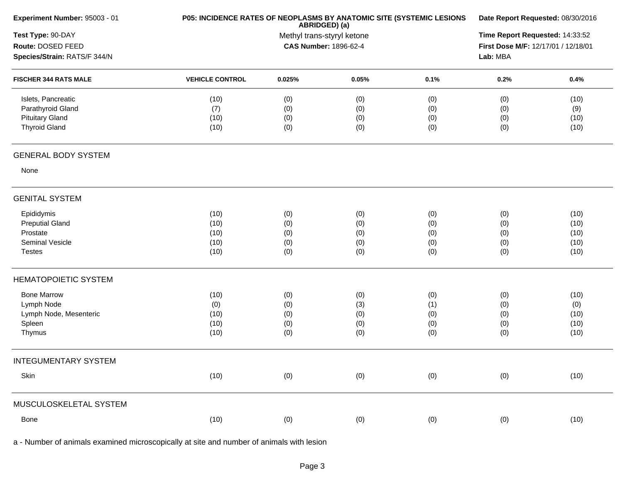| Experiment Number: 95003 - 01                                                             | P05: INCIDENCE RATES OF NEOPLASMS BY ANATOMIC SITE (SYSTEMIC LESIONS | Date Report Requested: 08/30/2016                          |                                 |                                 |                                 |                                      |  |
|-------------------------------------------------------------------------------------------|----------------------------------------------------------------------|------------------------------------------------------------|---------------------------------|---------------------------------|---------------------------------|--------------------------------------|--|
| Test Type: 90-DAY<br>Route: DOSED FEED<br>Species/Strain: RATS/F 344/N                    |                                                                      | Methyl trans-styryl ketone<br><b>CAS Number: 1896-62-4</b> |                                 |                                 |                                 |                                      |  |
| <b>FISCHER 344 RATS MALE</b>                                                              | <b>VEHICLE CONTROL</b>                                               | 0.025%                                                     | 0.05%                           | 0.1%                            | 0.2%                            | 0.4%                                 |  |
| Islets, Pancreatic<br>Parathyroid Gland<br><b>Pituitary Gland</b><br><b>Thyroid Gland</b> | (10)<br>(7)<br>(10)<br>(10)                                          | (0)<br>(0)<br>(0)<br>(0)                                   | (0)<br>(0)<br>(0)<br>(0)        | (0)<br>(0)<br>(0)<br>(0)        | (0)<br>(0)<br>(0)<br>(0)        | (10)<br>(9)<br>(10)<br>(10)          |  |
| <b>GENERAL BODY SYSTEM</b>                                                                |                                                                      |                                                            |                                 |                                 |                                 |                                      |  |
| None                                                                                      |                                                                      |                                                            |                                 |                                 |                                 |                                      |  |
| <b>GENITAL SYSTEM</b>                                                                     |                                                                      |                                                            |                                 |                                 |                                 |                                      |  |
| Epididymis<br><b>Preputial Gland</b><br>Prostate<br>Seminal Vesicle<br><b>Testes</b>      | (10)<br>(10)<br>(10)<br>(10)<br>(10)                                 | (0)<br>(0)<br>(0)<br>(0)<br>(0)                            | (0)<br>(0)<br>(0)<br>(0)<br>(0) | (0)<br>(0)<br>(0)<br>(0)<br>(0) | (0)<br>(0)<br>(0)<br>(0)<br>(0) | (10)<br>(10)<br>(10)<br>(10)<br>(10) |  |
| <b>HEMATOPOIETIC SYSTEM</b>                                                               |                                                                      |                                                            |                                 |                                 |                                 |                                      |  |
| <b>Bone Marrow</b><br>Lymph Node<br>Lymph Node, Mesenteric<br>Spleen<br>Thymus            | (10)<br>(0)<br>(10)<br>(10)<br>(10)                                  | (0)<br>(0)<br>(0)<br>(0)<br>(0)                            | (0)<br>(3)<br>(0)<br>(0)<br>(0) | (0)<br>(1)<br>(0)<br>(0)<br>(0) | (0)<br>(0)<br>(0)<br>(0)<br>(0) | (10)<br>(0)<br>(10)<br>(10)<br>(10)  |  |
| <b>INTEGUMENTARY SYSTEM</b>                                                               |                                                                      |                                                            |                                 |                                 |                                 |                                      |  |
| Skin                                                                                      | (10)                                                                 | (0)                                                        | (0)                             | (0)                             | (0)                             | (10)                                 |  |
| MUSCULOSKELETAL SYSTEM                                                                    |                                                                      |                                                            |                                 |                                 |                                 |                                      |  |
| Bone                                                                                      | (10)                                                                 | (0)                                                        | (0)                             | (0)                             | (0)                             | (10)                                 |  |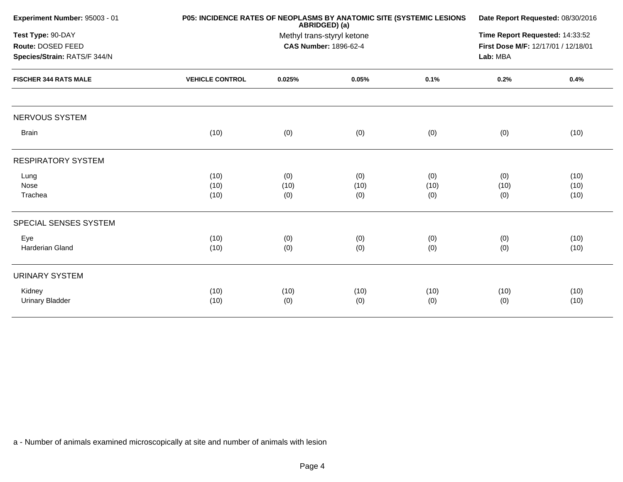|                                                                        |                        | Date Report Requested: 08/30/2016<br>Time Report Requested: 14:33:52<br>First Dose M/F: 12/17/01 / 12/18/01<br>Lab: MBA |                    |                    |                    |                      |
|------------------------------------------------------------------------|------------------------|-------------------------------------------------------------------------------------------------------------------------|--------------------|--------------------|--------------------|----------------------|
| Test Type: 90-DAY<br>Route: DOSED FEED<br>Species/Strain: RATS/F 344/N |                        |                                                                                                                         |                    |                    |                    |                      |
| <b>FISCHER 344 RATS MALE</b>                                           | <b>VEHICLE CONTROL</b> | 0.025%                                                                                                                  | 0.05%              | 0.1%               | 0.2%               | 0.4%                 |
| <b>NERVOUS SYSTEM</b>                                                  |                        |                                                                                                                         |                    |                    |                    |                      |
| <b>Brain</b>                                                           | (10)                   | (0)                                                                                                                     | (0)                | (0)                | (0)                | (10)                 |
| <b>RESPIRATORY SYSTEM</b>                                              |                        |                                                                                                                         |                    |                    |                    |                      |
| Lung<br>Nose<br>Trachea                                                | (10)<br>(10)<br>(10)   | (0)<br>(10)<br>(0)                                                                                                      | (0)<br>(10)<br>(0) | (0)<br>(10)<br>(0) | (0)<br>(10)<br>(0) | (10)<br>(10)<br>(10) |
| SPECIAL SENSES SYSTEM                                                  |                        |                                                                                                                         |                    |                    |                    |                      |
| Eye<br>Harderian Gland                                                 | (10)<br>(10)           | (0)<br>(0)                                                                                                              | (0)<br>(0)         | (0)<br>(0)         | (0)<br>(0)         | (10)<br>(10)         |
| <b>URINARY SYSTEM</b>                                                  |                        |                                                                                                                         |                    |                    |                    |                      |
| Kidney<br><b>Urinary Bladder</b>                                       | (10)<br>(10)           | (10)<br>(0)                                                                                                             | (10)<br>(0)        | (10)<br>(0)        | (10)<br>(0)        | (10)<br>(10)         |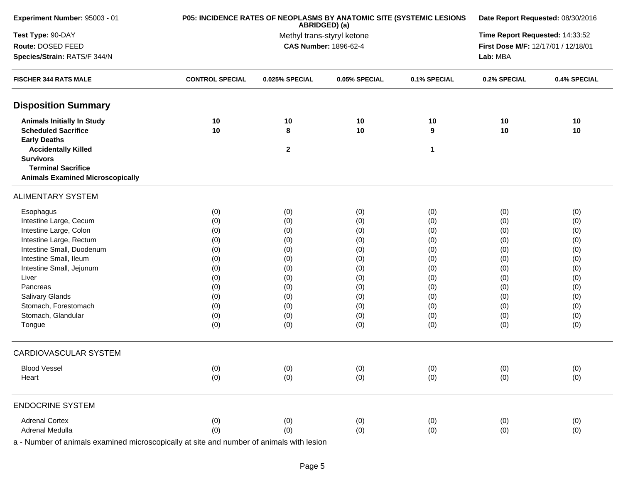| Experiment Number: 95003 - 01                 | P05: INCIDENCE RATES OF NEOPLASMS BY ANATOMIC SITE (SYSTEMIC LESIONS | ABRIDGED) (a)                | Date Report Requested: 08/30/2016 |                                     |              |              |
|-----------------------------------------------|----------------------------------------------------------------------|------------------------------|-----------------------------------|-------------------------------------|--------------|--------------|
| Test Type: 90-DAY                             |                                                                      | Methyl trans-styryl ketone   | Time Report Requested: 14:33:52   |                                     |              |              |
| Route: DOSED FEED                             |                                                                      | <b>CAS Number: 1896-62-4</b> |                                   | First Dose M/F: 12/17/01 / 12/18/01 |              |              |
| Species/Strain: RATS/F 344/N                  |                                                                      |                              |                                   | Lab: MBA                            |              |              |
| <b>FISCHER 344 RATS MALE</b>                  | <b>CONTROL SPECIAL</b>                                               | 0.025% SPECIAL               | 0.05% SPECIAL                     | 0.1% SPECIAL                        | 0.2% SPECIAL | 0.4% SPECIAL |
| <b>Disposition Summary</b>                    |                                                                      |                              |                                   |                                     |              |              |
| <b>Animals Initially In Study</b>             | 10                                                                   | 10                           | 10                                | 10                                  | 10           | 10           |
| <b>Scheduled Sacrifice</b>                    | 10                                                                   | 8                            | 10                                | 9                                   | 10           | 10           |
| <b>Early Deaths</b>                           |                                                                      |                              |                                   |                                     |              |              |
| <b>Accidentally Killed</b>                    |                                                                      | $\mathbf{2}$                 |                                   | 1                                   |              |              |
| <b>Survivors</b><br><b>Terminal Sacrifice</b> |                                                                      |                              |                                   |                                     |              |              |
| <b>Animals Examined Microscopically</b>       |                                                                      |                              |                                   |                                     |              |              |
| <b>ALIMENTARY SYSTEM</b>                      |                                                                      |                              |                                   |                                     |              |              |
| Esophagus                                     | (0)                                                                  | (0)                          | (0)                               | (0)                                 | (0)          | (0)          |
| Intestine Large, Cecum                        | (0)                                                                  | (0)                          | (0)                               | (0)                                 | (0)          | (0)          |
| Intestine Large, Colon                        | (0)                                                                  | (0)                          | (0)                               | (0)                                 | (0)          | (0)          |
| Intestine Large, Rectum                       | (0)                                                                  | (0)                          | (0)                               | (0)                                 | (0)          | (0)          |
| Intestine Small, Duodenum                     | (0)                                                                  | (0)                          | (0)                               | (0)                                 | (0)          | (0)          |
| Intestine Small, Ileum                        | (0)                                                                  | (0)                          | (0)                               | (0)                                 | (0)          | (0)          |
| Intestine Small, Jejunum                      | (0)                                                                  | (0)                          | (0)                               | (0)                                 | (0)          | (0)          |
| Liver                                         | (0)                                                                  | (0)                          | (0)                               | (0)                                 | (0)          | (0)          |
| Pancreas                                      | (0)                                                                  | (0)                          | (0)                               | (0)                                 | (0)          | (0)          |
| Salivary Glands                               | (0)                                                                  | (0)                          | (0)                               | (0)                                 | (0)          | (0)          |
| Stomach, Forestomach                          | (0)                                                                  | (0)                          | (0)                               | (0)                                 | (0)          | (0)          |
| Stomach, Glandular                            | (0)                                                                  | (0)                          | (0)                               | (0)                                 | (0)          | (0)          |
| Tongue                                        | (0)                                                                  | (0)                          | (0)                               | (0)                                 | (0)          | (0)          |
| <b>CARDIOVASCULAR SYSTEM</b>                  |                                                                      |                              |                                   |                                     |              |              |
| <b>Blood Vessel</b>                           | (0)                                                                  | (0)                          | (0)                               | (0)                                 | (0)          | (0)          |
| Heart                                         | (0)                                                                  | (0)                          | (0)                               | (0)                                 | (0)          | (0)          |
| <b>ENDOCRINE SYSTEM</b>                       |                                                                      |                              |                                   |                                     |              |              |
| <b>Adrenal Cortex</b>                         | (0)                                                                  | (0)                          | (0)                               | (0)                                 | (0)          | (0)          |
| Adrenal Medulla                               | (0)                                                                  | (0)                          | (0)                               | (0)                                 | (0)          | (0)          |
|                                               |                                                                      |                              |                                   |                                     |              |              |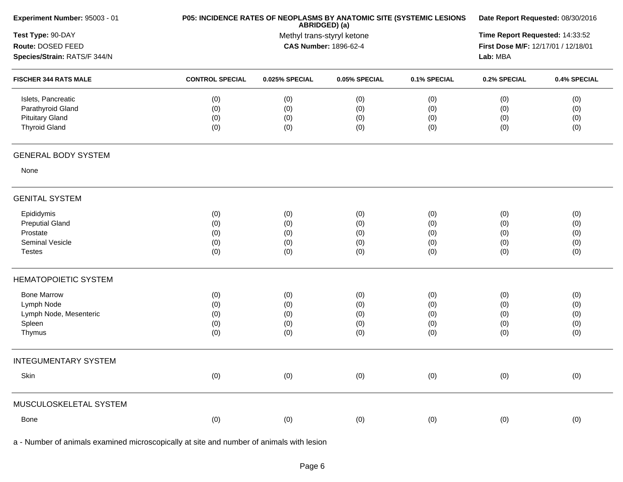| Experiment Number: 95003 - 01 |                        | P05: INCIDENCE RATES OF NEOPLASMS BY ANATOMIC SITE (SYSTEMIC LESIONS<br>ABRIDGED) (a) |                              |                                                                                                                                                                                                                                                                                       |     |              |  |  |
|-------------------------------|------------------------|---------------------------------------------------------------------------------------|------------------------------|---------------------------------------------------------------------------------------------------------------------------------------------------------------------------------------------------------------------------------------------------------------------------------------|-----|--------------|--|--|
| Test Type: 90-DAY             |                        |                                                                                       | Methyl trans-styryl ketone   |                                                                                                                                                                                                                                                                                       |     |              |  |  |
| Route: DOSED FEED             |                        |                                                                                       | <b>CAS Number: 1896-62-4</b> | Date Report Requested: 08/30/2016<br>Time Report Requested: 14:33:52<br>First Dose M/F: 12/17/01 / 12/18/01<br>Lab: MBA<br>0.1% SPECIAL<br>0.2% SPECIAL<br>(0)<br>(0)<br>(0)<br>(0)<br>(0)<br>(0)<br>(0)<br>(0)<br>(0)<br>(0)<br>(0)<br>(0)<br>(0)<br>(0)<br>(0)<br>(0)<br>(0)<br>(0) |     |              |  |  |
| Species/Strain: RATS/F 344/N  |                        |                                                                                       |                              |                                                                                                                                                                                                                                                                                       |     |              |  |  |
| <b>FISCHER 344 RATS MALE</b>  | <b>CONTROL SPECIAL</b> | 0.025% SPECIAL                                                                        | 0.05% SPECIAL                |                                                                                                                                                                                                                                                                                       |     | 0.4% SPECIAL |  |  |
| Islets, Pancreatic            | (0)                    | (0)                                                                                   | (0)                          |                                                                                                                                                                                                                                                                                       |     | (0)          |  |  |
| Parathyroid Gland             | (0)                    | (0)                                                                                   | (0)                          |                                                                                                                                                                                                                                                                                       |     | (0)          |  |  |
| <b>Pituitary Gland</b>        | (0)                    | (0)                                                                                   | (0)                          |                                                                                                                                                                                                                                                                                       |     | (0)          |  |  |
| <b>Thyroid Gland</b>          | (0)                    | (0)                                                                                   | (0)                          |                                                                                                                                                                                                                                                                                       |     | (0)          |  |  |
| <b>GENERAL BODY SYSTEM</b>    |                        |                                                                                       |                              |                                                                                                                                                                                                                                                                                       |     |              |  |  |
| None                          |                        |                                                                                       |                              |                                                                                                                                                                                                                                                                                       |     |              |  |  |
| <b>GENITAL SYSTEM</b>         |                        |                                                                                       |                              |                                                                                                                                                                                                                                                                                       |     |              |  |  |
| Epididymis                    | (0)                    | (0)                                                                                   | (0)                          |                                                                                                                                                                                                                                                                                       |     | (0)          |  |  |
| <b>Preputial Gland</b>        | (0)                    | (0)                                                                                   | (0)                          |                                                                                                                                                                                                                                                                                       |     | (0)          |  |  |
| Prostate                      | (0)                    | (0)                                                                                   | (0)                          |                                                                                                                                                                                                                                                                                       |     | (0)          |  |  |
| Seminal Vesicle               | (0)                    | (0)                                                                                   | (0)                          |                                                                                                                                                                                                                                                                                       |     | (0)          |  |  |
| <b>Testes</b>                 | (0)                    | (0)                                                                                   | (0)                          |                                                                                                                                                                                                                                                                                       |     | (0)          |  |  |
| <b>HEMATOPOIETIC SYSTEM</b>   |                        |                                                                                       |                              |                                                                                                                                                                                                                                                                                       |     |              |  |  |
| <b>Bone Marrow</b>            | (0)                    | (0)                                                                                   | (0)                          | (0)                                                                                                                                                                                                                                                                                   | (0) | (0)          |  |  |
| Lymph Node                    | (0)                    | (0)                                                                                   | (0)                          | (0)                                                                                                                                                                                                                                                                                   | (0) | (0)          |  |  |
| Lymph Node, Mesenteric        | (0)                    | (0)                                                                                   | (0)                          | (0)                                                                                                                                                                                                                                                                                   | (0) | (0)          |  |  |
| Spleen                        | (0)                    | (0)                                                                                   | (0)                          | (0)                                                                                                                                                                                                                                                                                   | (0) | (0)          |  |  |
| Thymus                        | (0)                    | (0)                                                                                   | (0)                          | (0)                                                                                                                                                                                                                                                                                   | (0) | (0)          |  |  |
| <b>INTEGUMENTARY SYSTEM</b>   |                        |                                                                                       |                              |                                                                                                                                                                                                                                                                                       |     |              |  |  |
| Skin                          | (0)                    | (0)                                                                                   | (0)                          | (0)                                                                                                                                                                                                                                                                                   | (0) | (0)          |  |  |
| MUSCULOSKELETAL SYSTEM        |                        |                                                                                       |                              |                                                                                                                                                                                                                                                                                       |     |              |  |  |
| Bone                          | (0)                    | (0)                                                                                   | (0)                          | (0)                                                                                                                                                                                                                                                                                   | (0) | (0)          |  |  |
|                               |                        |                                                                                       |                              |                                                                                                                                                                                                                                                                                       |     |              |  |  |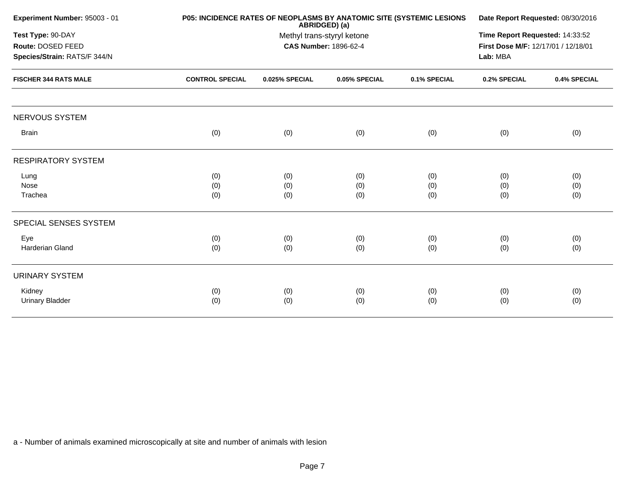| Experiment Number: 95003 - 01                                                                          |                        | P05: INCIDENCE RATES OF NEOPLASMS BY ANATOMIC SITE (SYSTEMIC LESIONS<br>ABRIDGED) (a) |               |              |              |              |  |
|--------------------------------------------------------------------------------------------------------|------------------------|---------------------------------------------------------------------------------------|---------------|--------------|--------------|--------------|--|
| Test Type: 90-DAY<br>Route: DOSED FEED<br>Species/Strain: RATS/F 344/N<br><b>FISCHER 344 RATS MALE</b> |                        | Methyl trans-styryl ketone<br><b>CAS Number: 1896-62-4</b>                            |               |              |              |              |  |
|                                                                                                        | <b>CONTROL SPECIAL</b> | 0.025% SPECIAL                                                                        | 0.05% SPECIAL | 0.1% SPECIAL | 0.2% SPECIAL | 0.4% SPECIAL |  |
| <b>NERVOUS SYSTEM</b>                                                                                  |                        |                                                                                       |               |              |              |              |  |
| <b>Brain</b>                                                                                           | (0)                    | (0)                                                                                   | (0)           | (0)          | (0)          | (0)          |  |
| <b>RESPIRATORY SYSTEM</b>                                                                              |                        |                                                                                       |               |              |              |              |  |
| Lung                                                                                                   | (0)                    | (0)                                                                                   | (0)           | (0)          | (0)          | (0)          |  |
| Nose<br>Trachea                                                                                        | (0)<br>(0)             | (0)<br>(0)                                                                            | (0)<br>(0)    | (0)<br>(0)   | (0)<br>(0)   | (0)<br>(0)   |  |
| SPECIAL SENSES SYSTEM                                                                                  |                        |                                                                                       |               |              |              |              |  |
|                                                                                                        |                        |                                                                                       |               |              |              |              |  |
| Eye<br>Harderian Gland                                                                                 | (0)<br>(0)             | (0)<br>(0)                                                                            | (0)<br>(0)    | (0)<br>(0)   | (0)<br>(0)   | (0)<br>(0)   |  |
| <b>URINARY SYSTEM</b>                                                                                  |                        |                                                                                       |               |              |              |              |  |
| Kidney<br><b>Urinary Bladder</b>                                                                       | (0)<br>(0)             | (0)<br>(0)                                                                            | (0)<br>(0)    | (0)<br>(0)   | (0)<br>(0)   | (0)<br>(0)   |  |
|                                                                                                        |                        |                                                                                       |               |              |              |              |  |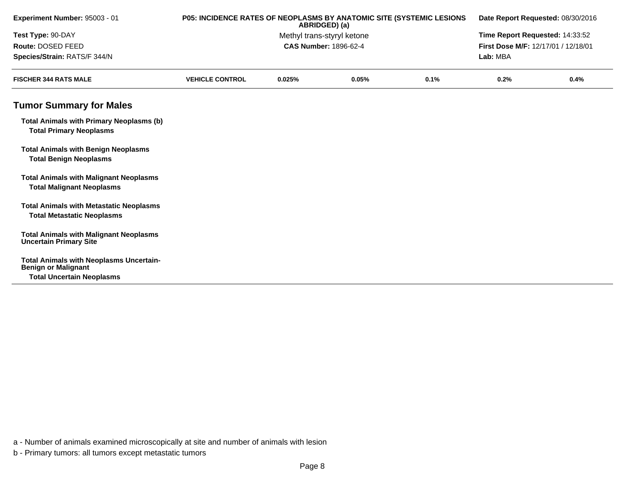| Experiment Number: 95003 - 01                                                       | P05: INCIDENCE RATES OF NEOPLASMS BY ANATOMIC SITE (SYSTEMIC LESIONS | ABRIDGED) (a)                |       |      | Date Report Requested: 08/30/2016<br>Time Report Requested: 14:33:52 |      |  |
|-------------------------------------------------------------------------------------|----------------------------------------------------------------------|------------------------------|-------|------|----------------------------------------------------------------------|------|--|
| Test Type: 90-DAY                                                                   |                                                                      | Methyl trans-styryl ketone   |       |      |                                                                      |      |  |
| Route: DOSED FEED                                                                   |                                                                      | <b>CAS Number: 1896-62-4</b> |       |      | First Dose M/F: 12/17/01 / 12/18/01                                  |      |  |
| Species/Strain: RATS/F 344/N                                                        |                                                                      |                              |       |      | Lab: MBA                                                             |      |  |
| <b>FISCHER 344 RATS MALE</b>                                                        | <b>VEHICLE CONTROL</b>                                               | 0.025%                       | 0.05% | 0.1% | 0.2%                                                                 | 0.4% |  |
| <b>Tumor Summary for Males</b>                                                      |                                                                      |                              |       |      |                                                                      |      |  |
| <b>Total Animals with Primary Neoplasms (b)</b><br><b>Total Primary Neoplasms</b>   |                                                                      |                              |       |      |                                                                      |      |  |
| <b>Total Animals with Benign Neoplasms</b><br><b>Total Benign Neoplasms</b>         |                                                                      |                              |       |      |                                                                      |      |  |
| <b>Total Animals with Malignant Neoplasms</b><br><b>Total Malignant Neoplasms</b>   |                                                                      |                              |       |      |                                                                      |      |  |
| <b>Total Animals with Metastatic Neoplasms</b><br><b>Total Metastatic Neoplasms</b> |                                                                      |                              |       |      |                                                                      |      |  |
| <b>Total Animals with Malignant Neoplasms</b><br><b>Uncertain Primary Site</b>      |                                                                      |                              |       |      |                                                                      |      |  |
| <b>Total Animals with Neoplasms Uncertain-</b><br><b>Benign or Malignant</b>        |                                                                      |                              |       |      |                                                                      |      |  |
| <b>Total Uncertain Neoplasms</b>                                                    |                                                                      |                              |       |      |                                                                      |      |  |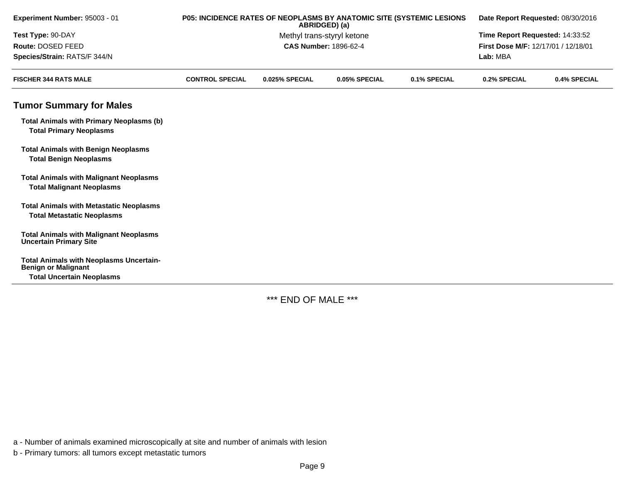| Experiment Number: 95003 - 01                                                       |                        |                              | ABRIDGED) (a)              | P05: INCIDENCE RATES OF NEOPLASMS BY ANATOMIC SITE (SYSTEMIC LESIONS<br>Date Report Requested: 08/30/2016 |                                     |              |  |
|-------------------------------------------------------------------------------------|------------------------|------------------------------|----------------------------|-----------------------------------------------------------------------------------------------------------|-------------------------------------|--------------|--|
| Test Type: 90-DAY                                                                   |                        |                              | Methyl trans-styryl ketone |                                                                                                           | Time Report Requested: 14:33:52     |              |  |
| Route: DOSED FEED                                                                   |                        | <b>CAS Number: 1896-62-4</b> |                            |                                                                                                           | First Dose M/F: 12/17/01 / 12/18/01 |              |  |
| Species/Strain: RATS/F 344/N                                                        |                        |                              |                            |                                                                                                           | Lab: MBA                            |              |  |
| <b>FISCHER 344 RATS MALE</b>                                                        | <b>CONTROL SPECIAL</b> | 0.025% SPECIAL               | 0.05% SPECIAL              | 0.1% SPECIAL                                                                                              | 0.2% SPECIAL                        | 0.4% SPECIAL |  |
| <b>Tumor Summary for Males</b>                                                      |                        |                              |                            |                                                                                                           |                                     |              |  |
| <b>Total Animals with Primary Neoplasms (b)</b><br><b>Total Primary Neoplasms</b>   |                        |                              |                            |                                                                                                           |                                     |              |  |
| <b>Total Animals with Benign Neoplasms</b><br><b>Total Benign Neoplasms</b>         |                        |                              |                            |                                                                                                           |                                     |              |  |
| <b>Total Animals with Malignant Neoplasms</b><br><b>Total Malignant Neoplasms</b>   |                        |                              |                            |                                                                                                           |                                     |              |  |
| <b>Total Animals with Metastatic Neoplasms</b><br><b>Total Metastatic Neoplasms</b> |                        |                              |                            |                                                                                                           |                                     |              |  |
| <b>Total Animals with Malignant Neoplasms</b><br><b>Uncertain Primary Site</b>      |                        |                              |                            |                                                                                                           |                                     |              |  |
| <b>Total Animals with Neoplasms Uncertain-</b><br><b>Benign or Malignant</b>        |                        |                              |                            |                                                                                                           |                                     |              |  |
| <b>Total Uncertain Neoplasms</b>                                                    |                        |                              |                            |                                                                                                           |                                     |              |  |

\*\*\* END OF MALE \*\*\*

a - Number of animals examined microscopically at site and number of animals with lesion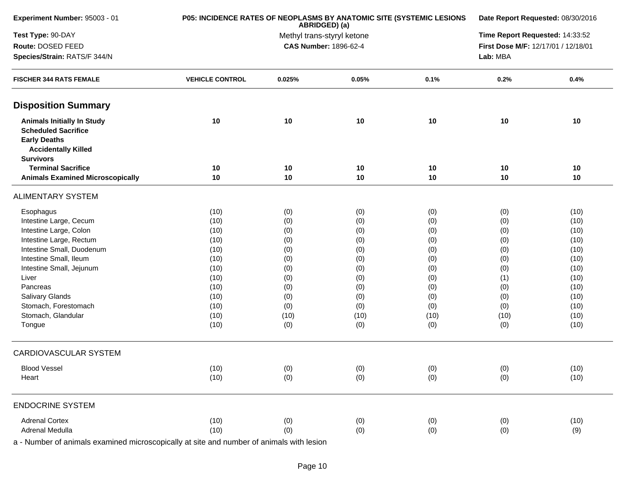| Experiment Number: 95003 - 01                                                                                                                                                                                                                                                      |                                                                                                      | P05: INCIDENCE RATES OF NEOPLASMS BY ANATOMIC SITE (SYSTEMIC LESIONS<br>ABRIDGED) (a)                                                                                                                                                                                                                                                                                                                                                                                                                                                                                                                                                                                                                 |            |            |                                 |                                                                                                      |
|------------------------------------------------------------------------------------------------------------------------------------------------------------------------------------------------------------------------------------------------------------------------------------|------------------------------------------------------------------------------------------------------|-------------------------------------------------------------------------------------------------------------------------------------------------------------------------------------------------------------------------------------------------------------------------------------------------------------------------------------------------------------------------------------------------------------------------------------------------------------------------------------------------------------------------------------------------------------------------------------------------------------------------------------------------------------------------------------------------------|------------|------------|---------------------------------|------------------------------------------------------------------------------------------------------|
| Test Type: 90-DAY                                                                                                                                                                                                                                                                  |                                                                                                      |                                                                                                                                                                                                                                                                                                                                                                                                                                                                                                                                                                                                                                                                                                       |            |            | Time Report Requested: 14:33:52 |                                                                                                      |
| Route: DOSED FEED                                                                                                                                                                                                                                                                  |                                                                                                      | Date Report Requested: 08/30/2016<br>Methyl trans-styryl ketone<br><b>CAS Number: 1896-62-4</b><br>First Dose M/F: 12/17/01 / 12/18/01<br>Lab: MBA<br>0.05%<br>0.1%<br>0.2%<br>0.025%<br>10<br>10<br>10<br>10<br>10<br>10<br>10<br>10<br>10<br>10<br>10<br>10<br>(0)<br>(0)<br>(0)<br>(0)<br>(0)<br>(0)<br>(0)<br>(0)<br>(0)<br>(0)<br>(0)<br>(0)<br>(0)<br>(0)<br>(0)<br>(0)<br>(0)<br>(0)<br>(0)<br>(0)<br>(0)<br>(0)<br>(0)<br>(0)<br>(0)<br>(0)<br>(0)<br>(0)<br>(0)<br>(1)<br>(0)<br>(0)<br>(0)<br>(0)<br>(0)<br>(0)<br>(0)<br>(0)<br>(0)<br>(0)<br>(0)<br>(0)<br>(0)<br>(0)<br>(10)<br>(10)<br>(10)<br>(10)<br>(0)<br>(0)<br>(0)<br>(0)<br>(0)<br>(0)<br>(0)<br>(0)<br>(0)<br>(0)<br>(0)<br>(0) |            |            |                                 |                                                                                                      |
| Species/Strain: RATS/F 344/N                                                                                                                                                                                                                                                       |                                                                                                      |                                                                                                                                                                                                                                                                                                                                                                                                                                                                                                                                                                                                                                                                                                       |            |            |                                 |                                                                                                      |
| <b>FISCHER 344 RATS FEMALE</b>                                                                                                                                                                                                                                                     | <b>VEHICLE CONTROL</b>                                                                               |                                                                                                                                                                                                                                                                                                                                                                                                                                                                                                                                                                                                                                                                                                       |            |            |                                 | 0.4%                                                                                                 |
| <b>Disposition Summary</b>                                                                                                                                                                                                                                                         |                                                                                                      |                                                                                                                                                                                                                                                                                                                                                                                                                                                                                                                                                                                                                                                                                                       |            |            |                                 |                                                                                                      |
| <b>Animals Initially In Study</b><br><b>Scheduled Sacrifice</b><br><b>Early Deaths</b><br><b>Accidentally Killed</b><br><b>Survivors</b>                                                                                                                                           | 10                                                                                                   |                                                                                                                                                                                                                                                                                                                                                                                                                                                                                                                                                                                                                                                                                                       |            |            |                                 | 10                                                                                                   |
| <b>Terminal Sacrifice</b>                                                                                                                                                                                                                                                          | 10                                                                                                   |                                                                                                                                                                                                                                                                                                                                                                                                                                                                                                                                                                                                                                                                                                       |            |            |                                 | 10                                                                                                   |
| <b>Animals Examined Microscopically</b>                                                                                                                                                                                                                                            | 10                                                                                                   |                                                                                                                                                                                                                                                                                                                                                                                                                                                                                                                                                                                                                                                                                                       |            |            |                                 | 10                                                                                                   |
| <b>ALIMENTARY SYSTEM</b>                                                                                                                                                                                                                                                           |                                                                                                      |                                                                                                                                                                                                                                                                                                                                                                                                                                                                                                                                                                                                                                                                                                       |            |            |                                 |                                                                                                      |
| Esophagus<br>Intestine Large, Cecum<br>Intestine Large, Colon<br>Intestine Large, Rectum<br>Intestine Small, Duodenum<br>Intestine Small, Ileum<br>Intestine Small, Jejunum<br>Liver<br>Pancreas<br><b>Salivary Glands</b><br>Stomach, Forestomach<br>Stomach, Glandular<br>Tongue | (10)<br>(10)<br>(10)<br>(10)<br>(10)<br>(10)<br>(10)<br>(10)<br>(10)<br>(10)<br>(10)<br>(10)<br>(10) |                                                                                                                                                                                                                                                                                                                                                                                                                                                                                                                                                                                                                                                                                                       |            |            |                                 | (10)<br>(10)<br>(10)<br>(10)<br>(10)<br>(10)<br>(10)<br>(10)<br>(10)<br>(10)<br>(10)<br>(10)<br>(10) |
| CARDIOVASCULAR SYSTEM                                                                                                                                                                                                                                                              |                                                                                                      |                                                                                                                                                                                                                                                                                                                                                                                                                                                                                                                                                                                                                                                                                                       |            |            |                                 |                                                                                                      |
| <b>Blood Vessel</b><br>Heart                                                                                                                                                                                                                                                       | (10)<br>(10)                                                                                         |                                                                                                                                                                                                                                                                                                                                                                                                                                                                                                                                                                                                                                                                                                       |            |            |                                 | (10)<br>(10)                                                                                         |
| <b>ENDOCRINE SYSTEM</b>                                                                                                                                                                                                                                                            |                                                                                                      |                                                                                                                                                                                                                                                                                                                                                                                                                                                                                                                                                                                                                                                                                                       |            |            |                                 |                                                                                                      |
| <b>Adrenal Cortex</b><br>Adrenal Medulla                                                                                                                                                                                                                                           | (10)<br>(10)                                                                                         | (0)<br>(0)                                                                                                                                                                                                                                                                                                                                                                                                                                                                                                                                                                                                                                                                                            | (0)<br>(0) | (0)<br>(0) | (0)<br>(0)                      | (10)<br>(9)                                                                                          |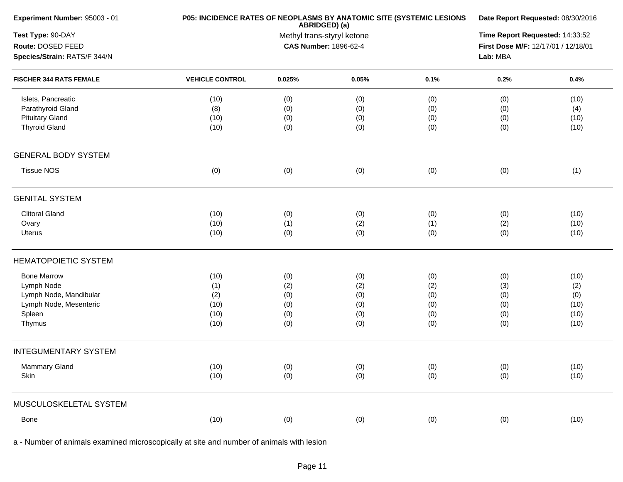| Experiment Number: 95003 - 01  | P05: INCIDENCE RATES OF NEOPLASMS BY ANATOMIC SITE (SYSTEMIC LESIONS | Date Report Requested: 08/30/2016 |                                                                                                                                                                                                                        |                                 |     |      |  |  |
|--------------------------------|----------------------------------------------------------------------|-----------------------------------|------------------------------------------------------------------------------------------------------------------------------------------------------------------------------------------------------------------------|---------------------------------|-----|------|--|--|
| Test Type: 90-DAY              |                                                                      |                                   |                                                                                                                                                                                                                        | Time Report Requested: 14:33:52 |     |      |  |  |
| Route: DOSED FEED              |                                                                      |                                   | ABRIDGED) (a)<br>Methyl trans-styryl ketone<br><b>CAS Number: 1896-62-4</b><br>First Dose M/F: 12/17/01 / 12/18/01<br>Lab: MBA<br>0.05%<br>0.1%<br>0.2%<br>(0)<br>(0)<br>(0)<br>(0)<br>(0)<br>(0)<br>(0)<br>(0)<br>(0) |                                 |     |      |  |  |
| Species/Strain: RATS/F 344/N   |                                                                      |                                   |                                                                                                                                                                                                                        |                                 |     |      |  |  |
| <b>FISCHER 344 RATS FEMALE</b> | <b>VEHICLE CONTROL</b>                                               | 0.025%                            |                                                                                                                                                                                                                        |                                 |     | 0.4% |  |  |
| Islets, Pancreatic             | (10)                                                                 | (0)                               |                                                                                                                                                                                                                        |                                 |     | (10) |  |  |
| Parathyroid Gland              | (8)                                                                  | (0)                               |                                                                                                                                                                                                                        |                                 |     | (4)  |  |  |
| <b>Pituitary Gland</b>         | (10)                                                                 | (0)                               |                                                                                                                                                                                                                        |                                 |     | (10) |  |  |
| <b>Thyroid Gland</b>           | (10)                                                                 | (0)                               | (0)                                                                                                                                                                                                                    | (0)                             | (0) | (10) |  |  |
| <b>GENERAL BODY SYSTEM</b>     |                                                                      |                                   |                                                                                                                                                                                                                        |                                 |     |      |  |  |
| <b>Tissue NOS</b>              | (0)                                                                  | (0)                               | (0)                                                                                                                                                                                                                    | (0)                             | (0) | (1)  |  |  |
| <b>GENITAL SYSTEM</b>          |                                                                      |                                   |                                                                                                                                                                                                                        |                                 |     |      |  |  |
| <b>Clitoral Gland</b>          | (10)                                                                 | (0)                               | (0)                                                                                                                                                                                                                    | (0)                             | (0) | (10) |  |  |
| Ovary                          | (10)                                                                 | (1)                               | (2)                                                                                                                                                                                                                    | (1)                             | (2) | (10) |  |  |
| Uterus                         | (10)                                                                 | (0)                               | (0)                                                                                                                                                                                                                    | (0)                             | (0) | (10) |  |  |
| <b>HEMATOPOIETIC SYSTEM</b>    |                                                                      |                                   |                                                                                                                                                                                                                        |                                 |     |      |  |  |
| <b>Bone Marrow</b>             | (10)                                                                 | (0)                               | (0)                                                                                                                                                                                                                    | (0)                             | (0) | (10) |  |  |
| Lymph Node                     | (1)                                                                  | (2)                               | (2)                                                                                                                                                                                                                    | (2)                             | (3) | (2)  |  |  |
| Lymph Node, Mandibular         | (2)                                                                  | (0)                               | (0)                                                                                                                                                                                                                    | (0)                             | (0) | (0)  |  |  |
| Lymph Node, Mesenteric         | (10)                                                                 | (0)                               | (0)                                                                                                                                                                                                                    | (0)                             | (0) | (10) |  |  |
| Spleen                         | (10)                                                                 | (0)                               | (0)                                                                                                                                                                                                                    | (0)                             | (0) | (10) |  |  |
| Thymus                         | (10)                                                                 | (0)                               | (0)                                                                                                                                                                                                                    | (0)                             | (0) | (10) |  |  |
| <b>INTEGUMENTARY SYSTEM</b>    |                                                                      |                                   |                                                                                                                                                                                                                        |                                 |     |      |  |  |
| Mammary Gland                  | (10)                                                                 | (0)                               | (0)                                                                                                                                                                                                                    | (0)                             | (0) | (10) |  |  |
| Skin                           | (10)                                                                 | (0)                               | (0)                                                                                                                                                                                                                    | (0)                             | (0) | (10) |  |  |
| MUSCULOSKELETAL SYSTEM         |                                                                      |                                   |                                                                                                                                                                                                                        |                                 |     |      |  |  |
| Bone                           | (10)                                                                 | (0)                               | (0)                                                                                                                                                                                                                    | (0)                             | (0) | (10) |  |  |
|                                |                                                                      |                                   |                                                                                                                                                                                                                        |                                 |     |      |  |  |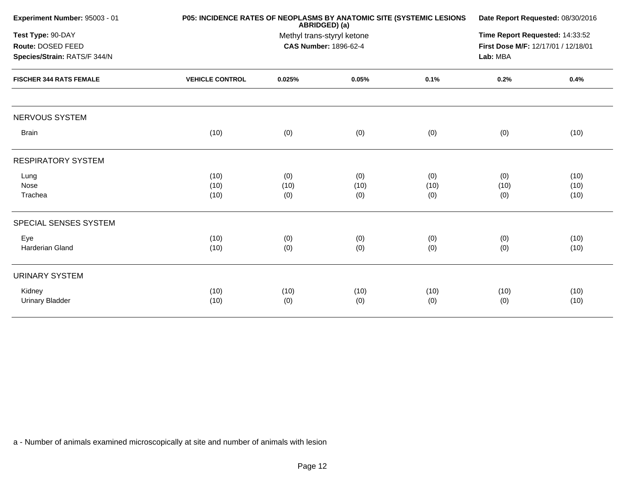|                        | Date Report Requested: 08/30/2016                                                  |                    |                                                                             |                                                                      |                      |
|------------------------|------------------------------------------------------------------------------------|--------------------|-----------------------------------------------------------------------------|----------------------------------------------------------------------|----------------------|
|                        | Time Report Requested: 14:33:52<br>First Dose M/F: 12/17/01 / 12/18/01<br>Lab: MBA |                    |                                                                             |                                                                      |                      |
| <b>VEHICLE CONTROL</b> | 0.025%                                                                             | 0.05%              | 0.1%                                                                        | 0.2%                                                                 | 0.4%                 |
|                        |                                                                                    |                    |                                                                             |                                                                      |                      |
| (10)                   | (0)                                                                                | (0)                | (0)                                                                         | (0)                                                                  | (10)                 |
|                        |                                                                                    |                    |                                                                             |                                                                      |                      |
| (10)<br>(10)<br>(10)   | (0)<br>(10)<br>(0)                                                                 | (0)<br>(10)<br>(0) | (0)<br>(10)<br>(0)                                                          | (0)<br>(10)<br>(0)                                                   | (10)<br>(10)<br>(10) |
|                        |                                                                                    |                    |                                                                             |                                                                      |                      |
| (10)<br>(10)           | (0)<br>(0)                                                                         | (0)<br>(0)         | (0)<br>(0)                                                                  | (0)<br>(0)                                                           | (10)<br>(10)         |
|                        |                                                                                    |                    |                                                                             |                                                                      |                      |
| (10)<br>(10)           | (10)<br>(0)                                                                        | (10)<br>(0)        | (10)<br>(0)                                                                 | (10)<br>(0)                                                          | (10)<br>(10)         |
|                        |                                                                                    |                    | ABRIDGED) (a)<br>Methyl trans-styryl ketone<br><b>CAS Number: 1896-62-4</b> | P05: INCIDENCE RATES OF NEOPLASMS BY ANATOMIC SITE (SYSTEMIC LESIONS |                      |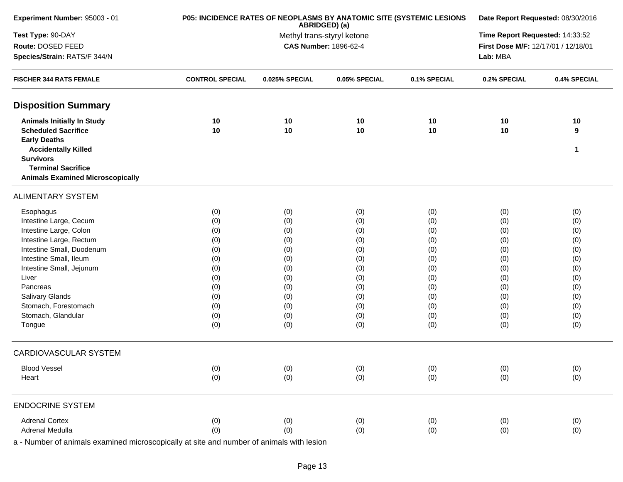| Experiment Number: 95003 - 01                 | P05: INCIDENCE RATES OF NEOPLASMS BY ANATOMIC SITE (SYSTEMIC LESIONS | Date Report Requested: 08/30/2016 |                                                     |              |                                     |              |  |
|-----------------------------------------------|----------------------------------------------------------------------|-----------------------------------|-----------------------------------------------------|--------------|-------------------------------------|--------------|--|
| Test Type: 90-DAY                             |                                                                      | Time Report Requested: 14:33:52   |                                                     |              |                                     |              |  |
| Route: DOSED FEED                             |                                                                      |                                   | Methyl trans-styryl ketone<br>CAS Number: 1896-62-4 |              | First Dose M/F: 12/17/01 / 12/18/01 |              |  |
| Species/Strain: RATS/F 344/N                  |                                                                      | Lab: MBA                          |                                                     |              |                                     |              |  |
| <b>FISCHER 344 RATS FEMALE</b>                | <b>CONTROL SPECIAL</b>                                               | 0.025% SPECIAL                    | 0.05% SPECIAL                                       | 0.1% SPECIAL | 0.2% SPECIAL                        | 0.4% SPECIAL |  |
| <b>Disposition Summary</b>                    |                                                                      |                                   |                                                     |              |                                     |              |  |
| <b>Animals Initially In Study</b>             | 10                                                                   | 10                                | 10                                                  | 10           | 10                                  | 10           |  |
| <b>Scheduled Sacrifice</b>                    | 10                                                                   | 10                                | 10                                                  | 10           | 10                                  | 9            |  |
| <b>Early Deaths</b>                           |                                                                      |                                   |                                                     |              |                                     |              |  |
| <b>Accidentally Killed</b>                    |                                                                      |                                   |                                                     |              |                                     | 1            |  |
| <b>Survivors</b><br><b>Terminal Sacrifice</b> |                                                                      |                                   |                                                     |              |                                     |              |  |
| <b>Animals Examined Microscopically</b>       |                                                                      |                                   |                                                     |              |                                     |              |  |
| <b>ALIMENTARY SYSTEM</b>                      |                                                                      |                                   |                                                     |              |                                     |              |  |
| Esophagus                                     | (0)                                                                  | (0)                               | (0)                                                 | (0)          | (0)                                 | (0)          |  |
| Intestine Large, Cecum                        | (0)                                                                  | (0)                               | (0)                                                 | (0)          | (0)                                 | (0)          |  |
| Intestine Large, Colon                        | (0)                                                                  | (0)                               | (0)                                                 | (0)          | (0)                                 | (0)          |  |
| Intestine Large, Rectum                       | (0)                                                                  | (0)                               | (0)                                                 | (0)          | (0)                                 | (0)          |  |
| Intestine Small, Duodenum                     | (0)                                                                  | (0)                               | (0)                                                 | (0)          | (0)                                 | (0)          |  |
| Intestine Small, Ileum                        | (0)                                                                  | (0)                               | (0)                                                 | (0)          | (0)                                 | (0)          |  |
| Intestine Small, Jejunum                      | (0)                                                                  | (0)                               | (0)                                                 | (0)          | (0)                                 | (0)          |  |
| Liver                                         | (0)                                                                  | (0)                               | (0)                                                 | (0)          | (0)                                 | (0)          |  |
| Pancreas                                      | (0)                                                                  | (0)                               | (0)                                                 | (0)          | (0)                                 | (0)          |  |
| Salivary Glands                               | (0)                                                                  | (0)                               | (0)                                                 | (0)          | (0)                                 | (0)          |  |
| Stomach, Forestomach                          | (0)                                                                  | (0)                               | (0)                                                 | (0)          | (0)                                 | (0)          |  |
| Stomach, Glandular                            | (0)                                                                  | (0)                               | (0)                                                 | (0)          | (0)                                 | (0)          |  |
| Tongue                                        | (0)                                                                  | (0)                               | (0)                                                 | (0)          | (0)                                 | (0)          |  |
| <b>CARDIOVASCULAR SYSTEM</b>                  |                                                                      |                                   |                                                     |              |                                     |              |  |
| <b>Blood Vessel</b>                           | (0)                                                                  | (0)                               | (0)                                                 | (0)          | (0)                                 | (0)          |  |
| Heart                                         | (0)                                                                  | (0)                               | (0)                                                 | (0)          | (0)                                 | (0)          |  |
| <b>ENDOCRINE SYSTEM</b>                       |                                                                      |                                   |                                                     |              |                                     |              |  |
| <b>Adrenal Cortex</b>                         | (0)                                                                  | (0)                               | (0)                                                 | (0)          | (0)                                 | (0)          |  |
| Adrenal Medulla                               | (0)                                                                  | (0)                               | (0)                                                 | (0)          | (0)                                 | (0)          |  |
|                                               |                                                                      |                                   |                                                     |              |                                     |              |  |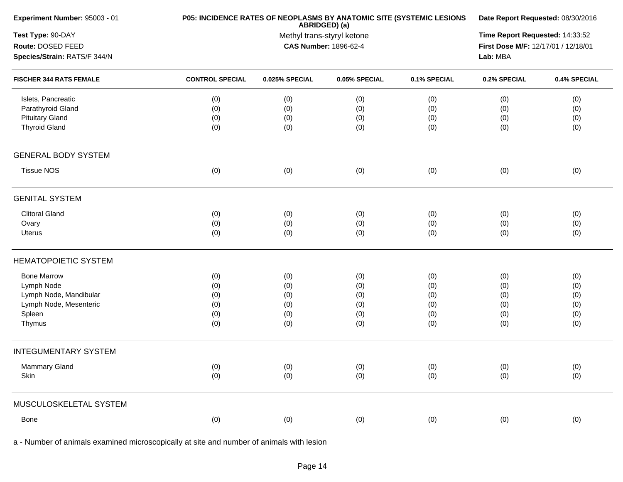| Experiment Number: 95003 - 01  | P05: INCIDENCE RATES OF NEOPLASMS BY ANATOMIC SITE (SYSTEMIC LESIONS | Date Report Requested: 08/30/2016           |                       |              |                                     |              |  |
|--------------------------------|----------------------------------------------------------------------|---------------------------------------------|-----------------------|--------------|-------------------------------------|--------------|--|
| Test Type: 90-DAY              |                                                                      | ABRIDGED) (a)<br>Methyl trans-styryl ketone |                       |              |                                     |              |  |
| Route: DOSED FEED              |                                                                      |                                             | CAS Number: 1896-62-4 |              | First Dose M/F: 12/17/01 / 12/18/01 |              |  |
| Species/Strain: RATS/F 344/N   |                                                                      | Lab: MBA                                    |                       |              |                                     |              |  |
| <b>FISCHER 344 RATS FEMALE</b> | <b>CONTROL SPECIAL</b>                                               | 0.025% SPECIAL                              | 0.05% SPECIAL         | 0.1% SPECIAL | 0.2% SPECIAL                        | 0.4% SPECIAL |  |
| Islets, Pancreatic             | (0)                                                                  | (0)                                         | (0)                   | (0)          | (0)                                 | (0)          |  |
| Parathyroid Gland              | (0)                                                                  | (0)                                         | (0)                   | (0)          | (0)                                 | (0)          |  |
| <b>Pituitary Gland</b>         | (0)                                                                  | (0)                                         | (0)                   | (0)          | (0)                                 | (0)          |  |
| <b>Thyroid Gland</b>           | (0)                                                                  | (0)                                         | (0)                   | (0)          | (0)                                 | (0)          |  |
| <b>GENERAL BODY SYSTEM</b>     |                                                                      |                                             |                       |              |                                     |              |  |
| <b>Tissue NOS</b>              | (0)                                                                  | (0)                                         | (0)                   | (0)          | (0)                                 | (0)          |  |
| <b>GENITAL SYSTEM</b>          |                                                                      |                                             |                       |              |                                     |              |  |
| <b>Clitoral Gland</b>          | (0)                                                                  | (0)                                         | (0)                   | (0)          | (0)                                 | (0)          |  |
| Ovary                          | (0)                                                                  | (0)                                         | (0)                   | (0)          | (0)                                 | (0)          |  |
| Uterus                         | (0)                                                                  | (0)                                         | (0)                   | (0)          | (0)                                 | (0)          |  |
| <b>HEMATOPOIETIC SYSTEM</b>    |                                                                      |                                             |                       |              |                                     |              |  |
| <b>Bone Marrow</b>             | (0)                                                                  | (0)                                         | (0)                   | (0)          | (0)                                 | (0)          |  |
| Lymph Node                     | (0)                                                                  | (0)                                         | (0)                   | (0)          | (0)                                 | (0)          |  |
| Lymph Node, Mandibular         | (0)                                                                  | (0)                                         | (0)                   | (0)          | (0)                                 | (0)          |  |
| Lymph Node, Mesenteric         | (0)                                                                  | (0)                                         | (0)                   | (0)          | (0)                                 | (0)          |  |
| Spleen                         | (0)                                                                  | (0)                                         | (0)                   | (0)          | (0)                                 | (0)          |  |
| Thymus                         | (0)                                                                  | (0)                                         | (0)                   | (0)          | (0)                                 | (0)          |  |
| <b>INTEGUMENTARY SYSTEM</b>    |                                                                      |                                             |                       |              |                                     |              |  |
| <b>Mammary Gland</b>           | (0)                                                                  | (0)                                         | (0)                   | (0)          | (0)                                 | (0)          |  |
| Skin                           | (0)                                                                  | (0)                                         | (0)                   | (0)          | (0)                                 | (0)          |  |
| MUSCULOSKELETAL SYSTEM         |                                                                      |                                             |                       |              |                                     |              |  |
| Bone                           | (0)                                                                  | (0)                                         | (0)                   | (0)          | (0)                                 | (0)          |  |
|                                |                                                                      |                                             |                       |              |                                     |              |  |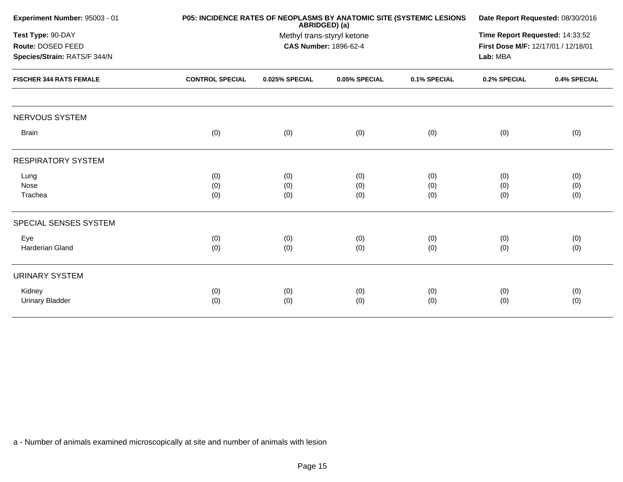| Experiment Number: 95003 - 01                                          | <b>P05: INCIDENCE RATES OF NEOPLASMS BY ANATOMIC SITE (SYSTEMIC LESIONS)</b> | Date Report Requested: 08/30/2016<br>Time Report Requested: 14:33:52<br>First Dose M/F: 12/17/01 / 12/18/01<br>Lab: MBA |                   |                   |                   |                   |
|------------------------------------------------------------------------|------------------------------------------------------------------------------|-------------------------------------------------------------------------------------------------------------------------|-------------------|-------------------|-------------------|-------------------|
| Test Type: 90-DAY<br>Route: DOSED FEED<br>Species/Strain: RATS/F 344/N |                                                                              |                                                                                                                         |                   |                   |                   |                   |
| <b>FISCHER 344 RATS FEMALE</b>                                         | <b>CONTROL SPECIAL</b>                                                       | 0.025% SPECIAL                                                                                                          | 0.05% SPECIAL     | 0.1% SPECIAL      | 0.2% SPECIAL      | 0.4% SPECIAL      |
| NERVOUS SYSTEM                                                         |                                                                              |                                                                                                                         |                   |                   |                   |                   |
| <b>Brain</b>                                                           | (0)                                                                          | (0)                                                                                                                     | (0)               | (0)               | (0)               | (0)               |
| <b>RESPIRATORY SYSTEM</b>                                              |                                                                              |                                                                                                                         |                   |                   |                   |                   |
| Lung<br>Nose<br>Trachea                                                | (0)<br>(0)<br>(0)                                                            | (0)<br>(0)<br>(0)                                                                                                       | (0)<br>(0)<br>(0) | (0)<br>(0)<br>(0) | (0)<br>(0)<br>(0) | (0)<br>(0)<br>(0) |
| SPECIAL SENSES SYSTEM                                                  |                                                                              |                                                                                                                         |                   |                   |                   |                   |
| Eye<br>Harderian Gland                                                 | (0)<br>(0)                                                                   | (0)<br>(0)                                                                                                              | (0)<br>(0)        | (0)<br>(0)        | (0)<br>(0)        | (0)<br>(0)        |
| <b>URINARY SYSTEM</b>                                                  |                                                                              |                                                                                                                         |                   |                   |                   |                   |
| Kidney<br><b>Urinary Bladder</b>                                       | (0)<br>(0)                                                                   | (0)<br>(0)                                                                                                              | (0)<br>(0)        | (0)<br>(0)        | (0)<br>(0)        | (0)<br>(0)        |
|                                                                        |                                                                              |                                                                                                                         |                   |                   |                   |                   |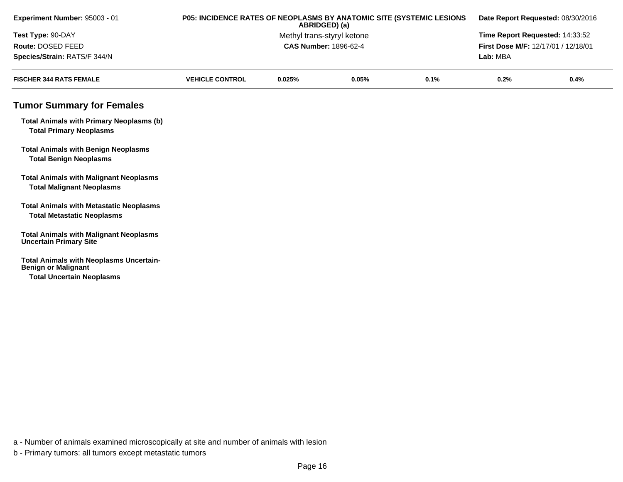| Experiment Number: 95003 - 01                                                       | P05: INCIDENCE RATES OF NEOPLASMS BY ANATOMIC SITE (SYSTEMIC LESIONS<br>ABRIDGED) (a)<br>Methyl trans-styryl ketone |          |       |      | Date Report Requested: 08/30/2016<br>Time Report Requested: 14:33:52<br>First Dose M/F: 12/17/01 / 12/18/01 |      |  |
|-------------------------------------------------------------------------------------|---------------------------------------------------------------------------------------------------------------------|----------|-------|------|-------------------------------------------------------------------------------------------------------------|------|--|
| Test Type: 90-DAY                                                                   |                                                                                                                     |          |       |      |                                                                                                             |      |  |
| Route: DOSED FEED                                                                   | <b>CAS Number: 1896-62-4</b>                                                                                        |          |       |      |                                                                                                             |      |  |
| Species/Strain: RATS/F 344/N                                                        |                                                                                                                     | Lab: MBA |       |      |                                                                                                             |      |  |
| <b>FISCHER 344 RATS FEMALE</b>                                                      | <b>VEHICLE CONTROL</b>                                                                                              | 0.025%   | 0.05% | 0.1% | 0.2%                                                                                                        | 0.4% |  |
| <b>Tumor Summary for Females</b>                                                    |                                                                                                                     |          |       |      |                                                                                                             |      |  |
| <b>Total Animals with Primary Neoplasms (b)</b><br><b>Total Primary Neoplasms</b>   |                                                                                                                     |          |       |      |                                                                                                             |      |  |
| <b>Total Animals with Benign Neoplasms</b><br><b>Total Benign Neoplasms</b>         |                                                                                                                     |          |       |      |                                                                                                             |      |  |
| <b>Total Animals with Malignant Neoplasms</b><br><b>Total Malignant Neoplasms</b>   |                                                                                                                     |          |       |      |                                                                                                             |      |  |
| <b>Total Animals with Metastatic Neoplasms</b><br><b>Total Metastatic Neoplasms</b> |                                                                                                                     |          |       |      |                                                                                                             |      |  |
| <b>Total Animals with Malignant Neoplasms</b><br><b>Uncertain Primary Site</b>      |                                                                                                                     |          |       |      |                                                                                                             |      |  |
| <b>Total Animals with Neoplasms Uncertain-</b><br><b>Benign or Malignant</b>        |                                                                                                                     |          |       |      |                                                                                                             |      |  |
| <b>Total Uncertain Neoplasms</b>                                                    |                                                                                                                     |          |       |      |                                                                                                             |      |  |